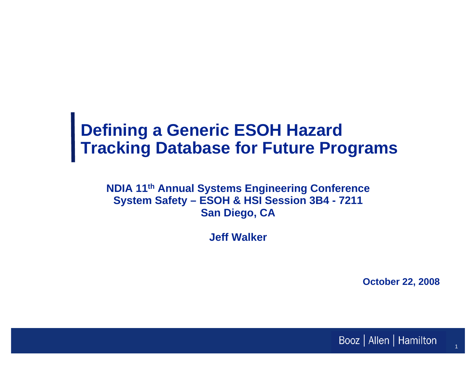## **Defining a Generic ESOH Hazard Tracking Database for Future Programs**

**NDIA 11th Annual Systems Engineering Conference System Safety – ESOH & HSI Session 3B4 - 7211 San Diego, CA**

**Jeff Walker**

**October 22, 2008**

1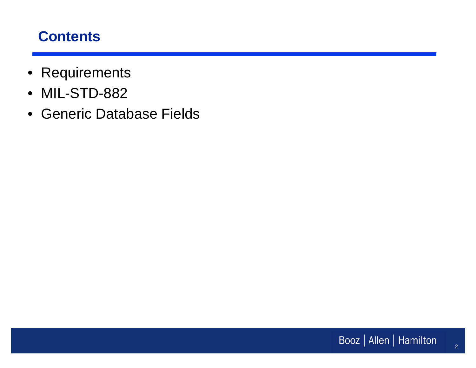#### **Contents**

- Requirements
- MIL-STD-882
- Generic Database Fields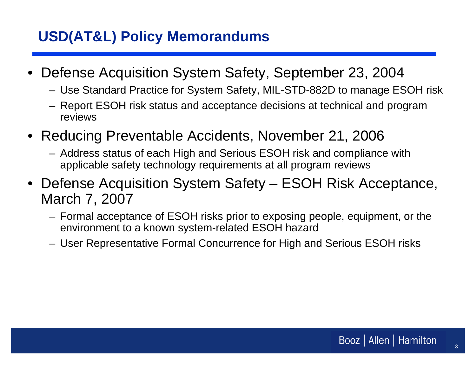## **USD(AT&L) Policy Memorandums**

- • Defense Acquisition System Safety, September 23, 2004
	- Use Standard Practice for System Safety, MIL-STD-882D to manage ESOH risk
	- Report ESOH risk status and acceptance decisions at technical and program reviews
- Reducing Preventable Accidents, November 21, 2006
	- Address status of each High and Serious ESOH risk and compliance with applicable safety technology requirements at all program reviews
- Defense Acquisition System Safety ESOH Risk Acceptance, March 7, 2007
	- Formal acceptance of ESOH risks prior to exposing people, equipment, or the environment to a known system-related ESOH hazard
	- User Representative Formal Concurrence for High and Serious ESOH risks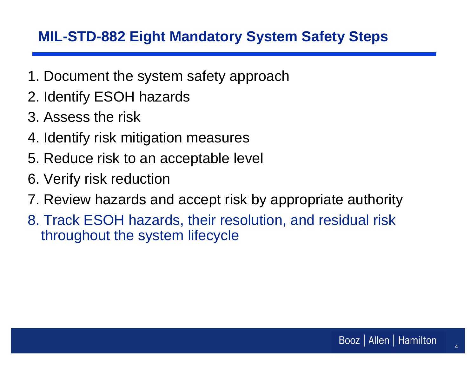## **MIL-STD-882 Eight Mandatory System Safety Steps**

- 1. Document the system safety approach
- 2. Identify ESOH hazards
- 3. Assess the risk
- 4. Identify risk mitigation measures
- 5. Reduce risk to an acceptable level
- 6. Verify risk reduction
- 7. Review hazards and accept risk by appropriate authority
- 8. Track ESOH hazards, their resolution, and residual risk throughout the system lifecycle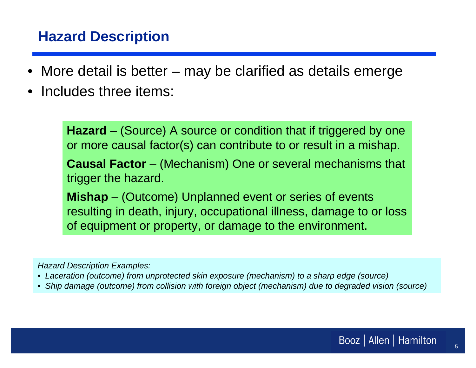#### **Hazard Description**

- •More detail is better – may be clarified as details emerge
- •Includes three items:

**Hazard** – (Source) A source or condition that if triggered by one or more causal factor(s) can contribute to or result in a mishap.

**Causal Factor** – (Mechanism) One or several mechanisms that trigger the hazard.

**Mishap** – (Outcome) Unplanned event or series of events resulting in death, injury, occupational illness, damage to or loss of equipment or property, or damage to the environment.

*Hazard Description Examples:*

- *Laceration (outcome) from unprotected skin exposure (mechanism) to a sharp edge (source)*
- *Ship damage (outcome) from collision with foreign object (mechanism) due to degraded vision (source)*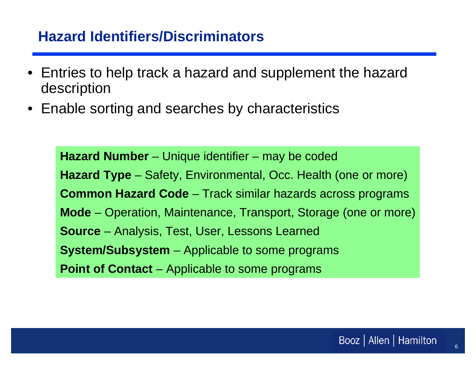#### **Hazard Identifiers/Discriminators**

- • Entries to help track a hazard and supplement the hazard description
- •Enable sorting and searches by characteristics

**Hazard Number** – Unique identifier – may be coded **Hazard Type** – Safety, Environmental, Occ. Health (one or more) **Common Hazard Code** – Track similar hazards across programs **Mode** – Operation, Maintenance, Transport, Storage (one or more) **Source** – Analysis, Test, User, Lessons Learned **System/Subsystem** – Applicable to some programs **Point of Contact** – Applicable to some programs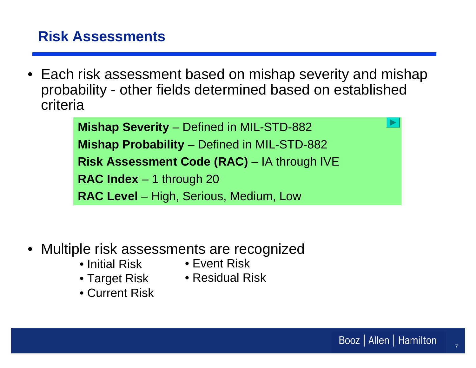#### **Risk Assessments**

• Each risk assessment based on mishap severity and mishap probability - other fields determined based on established criteria

> **Mishap Severity** – Defined in MIL-STD-882 **Mishap Probability** – Defined in MIL-STD-882 **Risk Assessment Code (RAC)** – IA through IVE **RAC Index** – 1 through 20 **RAC Level** – High, Serious, Medium, Low

- • Multiple risk assessments are recognized
	-
	- Initial Risk• Event Risk
	-
	- Target Risk Residual Risk
	- Current Risk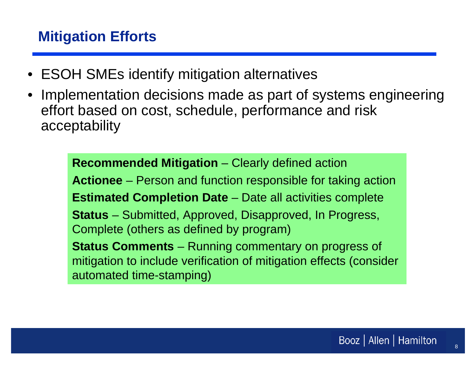### **Mitigation Efforts**

- ESOH SMEs identify mitigation alternatives
- • Implementation decisions made as part of systems engineering effort based on cost, schedule, performance and risk acceptability

**Recommended Mitigation** – Clearly defined action **Actionee** – Person and function responsible for taking action **Estimated Completion Date** – Date all activities complete **Status** – Submitted, Approved, Disapproved, In Progress, Complete (others as defined by program) **Status Comments** – Running commentary on progress of mitigation to include verification of mitigation effects (consider automated time-stamping)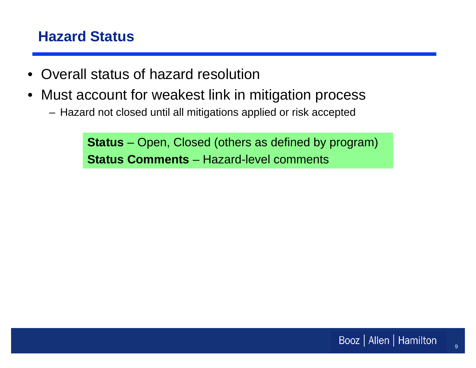### **Hazard Status**

- $\bullet$ Overall status of hazard resolution
- $\bullet$  Must account for weakest link in mitigation process
	- Hazard not closed until all mitigations applied or risk accepted

**Status** – Open, Closed (others as defined by program) **Status Comments** – Hazard-level comments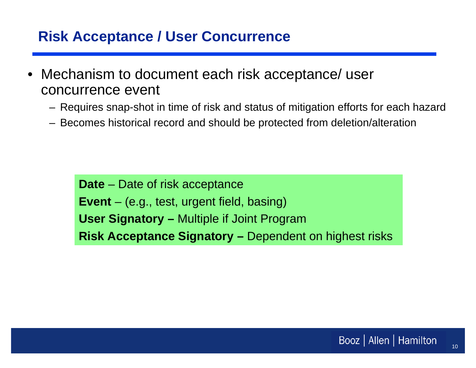#### **Risk Acceptance / User Concurrence**

- • Mechanism to document each risk acceptance/ user concurrence event
	- Requires snap-shot in time of risk and status of mitigation efforts for each hazard
	- Becomes historical record and should be protected from deletion/alteration

**Date** – Date of risk acceptance **Event** – (e.g., test, urgent field, basing) **User Signatory –** Multiple if Joint Program **Risk Acceptance Signatory –** Dependent on highest risks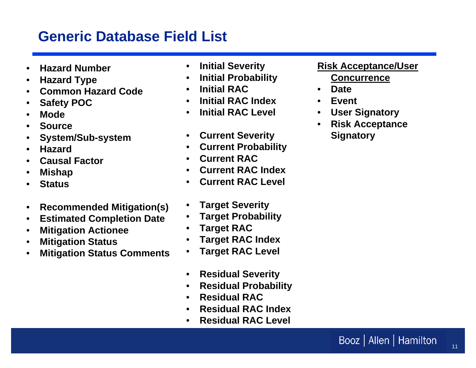#### **Generic Database Field List**

- •**Hazard Number**
- •**Hazard Type**
- •**Common Hazard Code**
- •**Safety POC**
- •**Mode**
- •**Source**
- •**System/Sub-system**
- •**Hazard**
- •**Causal Factor**
- •**Mishap**
- •**Status**
- •**Recommended Mitigation(s)**
- $\bullet$ **Estimated Completion Date**
- •**Mitigation Actionee**
- •**Mitigation Status**
- •**Mitigation Status Comments**
- $\bullet$ **Initial Severity**
- $\bullet$ **Initial Probability**
- •**Initial RAC**
- •**Initial RAC Index**
- •**Initial RAC Level**
- $\bullet$ **Current Severity**
- $\bullet$ **Current Probability**
- •**Current RAC**
- •**Current RAC Index**
- •**Current RAC Level**
- •**Target Severity**
- •**Target Probability**
- •**Target RAC**
- $\bullet$ **Target RAC Index**
- •**Target RAC Level**
- $\bullet$ **Residual Severity**
- $\bullet$ **Residual Probability**
- •**Residual RAC**
- •**Residual RAC Index**
- •**Residual RAC Level**

#### **Risk Acceptance/User Concurrence**

- **Date**
- •**Event**
- •**User Signatory**
- • **Risk Acceptance Signatory**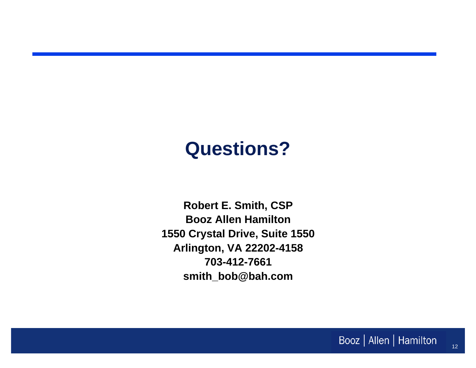# **Questions?**

**Robert E. Smith, CSP Booz Allen Hamilton 1550 Crystal Drive, Suite 1550 Arlington, VA 22202-4158 703-412-7661 smith\_bob@bah.com**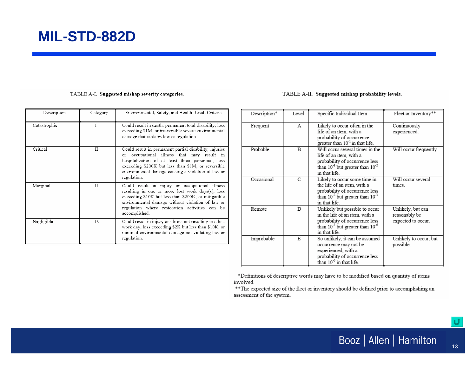#### TABLE A-I. Suggested mishap severity categories.

| Description  | Category | Environmental, Safety, and Health Result Criteria                                                                                                                                                                                                                                    |
|--------------|----------|--------------------------------------------------------------------------------------------------------------------------------------------------------------------------------------------------------------------------------------------------------------------------------------|
| Catastrophic | Ι        | Could result in death, permanent total disability, loss<br>exceeding \$1M, or irreversible severe environmental<br>damage that violates law or regulation.                                                                                                                           |
| Critical     | TT       | Could result in permanent partial disability, injuries<br>or occupational illness that may result in<br>hospitalization of at least three personnel, loss<br>exceeding \$200K but less than \$1M, or reversible<br>environmental damage causing a violation of law or<br>regulation. |
| Marginal     | Ш        | Could result in injury or occupational illness<br>resulting in one or more lost work days(s), loss<br>exceeding \$10K but less than \$200K, or mitigatible<br>environmental damage without violation of law or<br>regulation where restoration activities can be<br>accomplished.    |
| Negligible   | IV       | Could result in injury or illness not resulting in a lost<br>work day, loss exceeding \$2K but less than \$10K, or<br>minimal environmental damage not violating law or<br>regulation.                                                                                               |

#### TABLE A-II. Suggested mishap probability levels.

| Description* | Level | Specific Individual Item                                                                                                                                         | Fleet or Inventory**                                     |
|--------------|-------|------------------------------------------------------------------------------------------------------------------------------------------------------------------|----------------------------------------------------------|
| Frequent     | А     | Likely to occur often in the<br>life of an item, with a<br>probability of occurrence<br>greater than 10 <sup>-1</sup> in that life.                              | Continuously<br>experienced.                             |
| Probable     | B     | Will occur several times in the<br>life of an item, with a<br>probability of occurrence less<br>than $10^{-1}$ but greater than $10^{-2}$<br>in that life.       | Will occur frequently.                                   |
| Occasional   | C     | Likely to occur some time in<br>the life of an item, with a<br>probability of occurrence less<br>than $10^{-2}$ but greater than $10^{-3}$<br>in that life.      | Will occur several<br>times                              |
| Remote       | D     | Unlikely but possible to occur<br>in the life of an item, with a<br>probability of occurrence less<br>than $10^{-3}$ but greater than $10^{-6}$<br>in that life. | Unlikely, but can<br>reasonably be<br>expected to occur. |
| Improbable   | E     | So unlikely, it can be assumed<br>occurrence may not be<br>experienced, with a<br>probability of occurrence less<br>than 10 <sup>-6</sup> in that life.          | Unlikely to occur, but<br>possible.                      |

\*Definitions of descriptive words may have to be modified based on quantity of items involved.

\*\* The expected size of the fleet or inventory should be defined prior to accomplishing an assessment of the system.